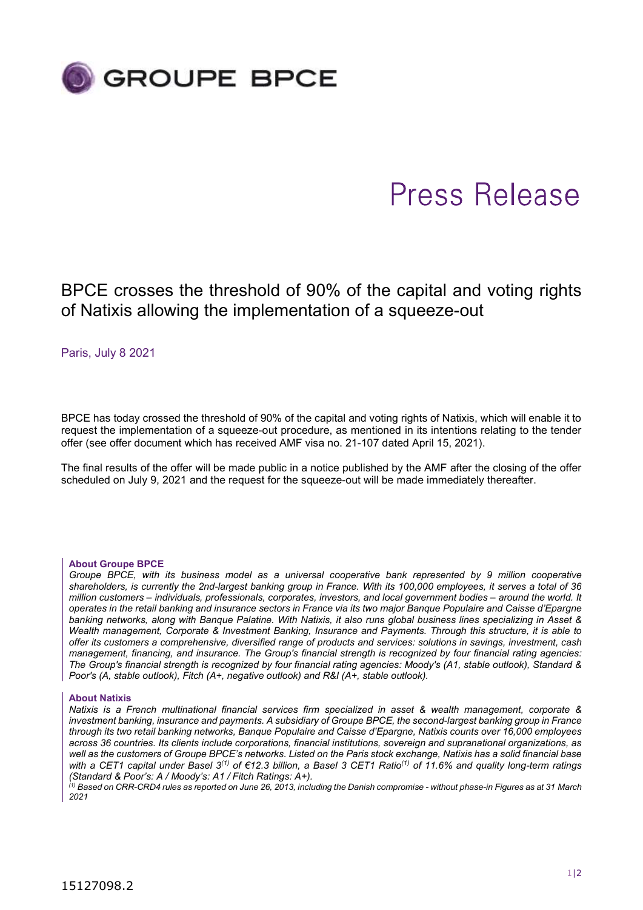

# Press Release

BPCE crosses the threshold of 90% of the capital and voting rights of Natixis allowing the implementation of a squeeze-out

Paris, July 8 2021

BPCE has today crossed the threshold of 90% of the capital and voting rights of Natixis, which will enable it to request the implementation of a squeeze-out procedure, as mentioned in its intentions relating to the tender offer (see offer document which has received AMF visa no. 21-107 dated April 15, 2021).

The final results of the offer will be made public in a notice published by the AMF after the closing of the offer scheduled on July 9, 2021 and the request for the squeeze-out will be made immediately thereafter.

### About Groupe BPCE

Groupe BPCE, with its business model as a universal cooperative bank represented by 9 million cooperative shareholders, is currently the 2nd-largest banking group in France. With its 100,000 employees, it serves a total of 36 million customers – individuals, professionals, corporates, investors, and local government bodies – around the world. It operates in the retail banking and insurance sectors in France via its two major Banque Populaire and Caisse d'Epargne banking networks, along with Banque Palatine. With Natixis, it also runs global business lines specializing in Asset & Wealth management, Corporate & Investment Banking, Insurance and Payments. Through this structure, it is able to offer its customers a comprehensive, diversified range of products and services: solutions in savings, investment, cash management, financing, and insurance. The Group's financial strength is recognized by four financial rating agencies: The Group's financial strength is recognized by four financial rating agencies: Moody's (A1, stable outlook), Standard & Poor's (A, stable outlook), Fitch (A+, negative outlook) and R&I (A+, stable outlook).

#### About Natixis

Natixis is a French multinational financial services firm specialized in asset & wealth management, corporate & investment banking, insurance and payments. A subsidiary of Groupe BPCE, the second-largest banking group in France through its two retail banking networks, Banque Populaire and Caisse d'Epargne, Natixis counts over 16,000 employees across 36 countries. Its clients include corporations, financial institutions, sovereign and supranational organizations, as well as the customers of Groupe BPCE's networks. Listed on the Paris stock exchange, Natixis has a solid financial base with a CET1 capital under Basel 3<sup>(1)</sup> of €12.3 billion, a Basel 3 CET1 Ratio<sup>(1)</sup> of 11.6% and quality long-term ratings (Standard & Poor's: A / Moody's: A1 / Fitch Ratings: A+).

(1) Based on CRR-CRD4 rules as reported on June 26, 2013, including the Danish compromise - without phase-in Figures as at 31 March 2021